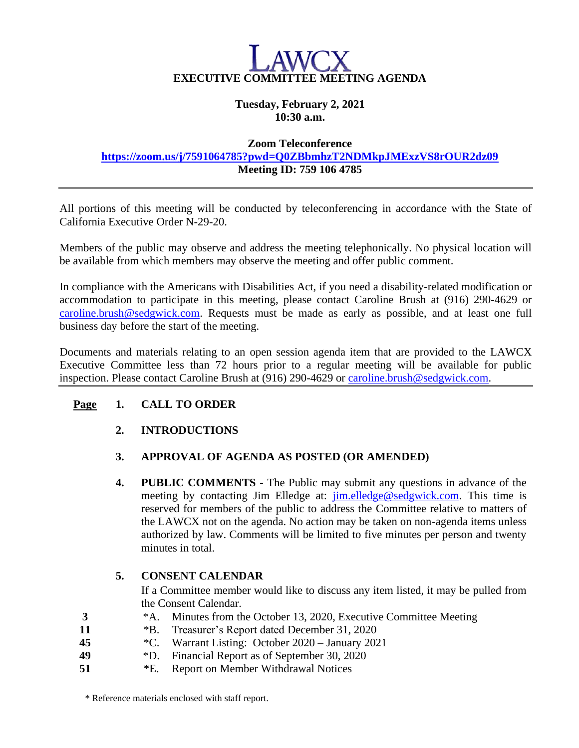

#### **Tuesday, February 2, 2021 10:30 a.m.**

#### **Zoom Teleconference**

#### **<https://zoom.us/j/7591064785?pwd=Q0ZBbmhzT2NDMkpJMExzVS8rOUR2dz09> Meeting ID: 759 106 4785**

All portions of this meeting will be conducted by teleconferencing in accordance with the State of California Executive Order N-29-20.

Members of the public may observe and address the meeting telephonically. No physical location will be available from which members may observe the meeting and offer public comment.

In compliance with the Americans with Disabilities Act, if you need a disability-related modification or accommodation to participate in this meeting, please contact Caroline Brush at (916) 290-4629 or [caroline.brush@sedgwick.com.](mailto:caroline.brush@sedgwick.com) Requests must be made as early as possible, and at least one full business day before the start of the meeting.

Documents and materials relating to an open session agenda item that are provided to the LAWCX Executive Committee less than 72 hours prior to a regular meeting will be available for public inspection. Please contact Caroline Brush at (916) 290-4629 or [caroline.brush@sedgwick.com.](mailto:caroline.brush@sedgwick.com)

### **Page 1. CALL TO ORDER**

### **2. INTRODUCTIONS**

# **3. APPROVAL OF AGENDA AS POSTED (OR AMENDED)**

**4. PUBLIC COMMENTS** - The Public may submit any questions in advance of the meeting by contacting Jim Elledge at: [jim.elledge@sedgwick.com.](mailto:jim.elledge@sedgwick.com) This time is reserved for members of the public to address the Committee relative to matters of the LAWCX not on the agenda. No action may be taken on non-agenda items unless authorized by law. Comments will be limited to five minutes per person and twenty minutes in total.

### **5. CONSENT CALENDAR**

If a Committee member would like to discuss any item listed, it may be pulled from the Consent Calendar.

- **3** \*A. Minutes from the October 13, 2020, Executive Committee Meeting
- **11** \*B. Treasurer's Report dated December 31, 2020
- **45** \*C. Warrant Listing: October 2020 January 2021
- **49** \*D. Financial Report as of September 30, 2020
- **51** \*E. Report on Member Withdrawal Notices

\* Reference materials enclosed with staff report.